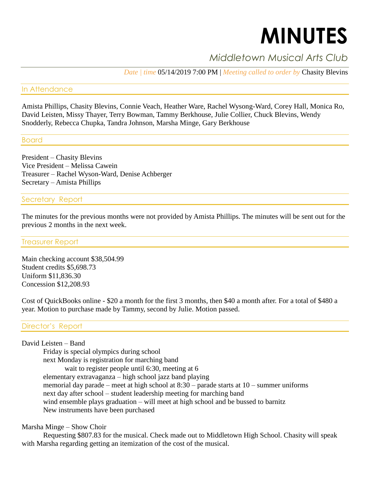# **MINUTES**

# *Middletown Musical Arts Club*

*Date | time* 05/14/2019 7:00 PM | *Meeting called to order by* Chasity Blevins

### In Attendance

Amista Phillips, Chasity Blevins, Connie Veach, Heather Ware, Rachel Wysong-Ward, Corey Hall, Monica Ro, David Leisten, Missy Thayer, Terry Bowman, Tammy Berkhouse, Julie Collier, Chuck Blevins, Wendy Snodderly, Rebecca Chupka, Tandra Johnson, Marsha Minge, Gary Berkhouse

# Board

President – Chasity Blevins Vice President – Melissa Cawein Treasurer – Rachel Wyson-Ward, Denise Achberger Secretary – Amista Phillips

# Secretary Report

The minutes for the previous months were not provided by Amista Phillips. The minutes will be sent out for the previous 2 months in the next week.

#### Treasurer Report

Main checking account \$38,504.99 Student credits \$5,698.73 Uniform \$11,836.30 Concession \$12,208.93

Cost of QuickBooks online - \$20 a month for the first 3 months, then \$40 a month after. For a total of \$480 a year. Motion to purchase made by Tammy, second by Julie. Motion passed.

# Director's Report

#### David Leisten – Band

Friday is special olympics during school next Monday is registration for marching band wait to register people until 6:30, meeting at 6 elementary extravaganza – high school jazz band playing memorial day parade – meet at high school at 8:30 – parade starts at 10 – summer uniforms next day after school – student leadership meeting for marching band wind ensemble plays graduation – will meet at high school and be bussed to barnitz New instruments have been purchased

#### Marsha Minge – Show Choir

Requesting \$807.83 for the musical. Check made out to Middletown High School. Chasity will speak with Marsha regarding getting an itemization of the cost of the musical.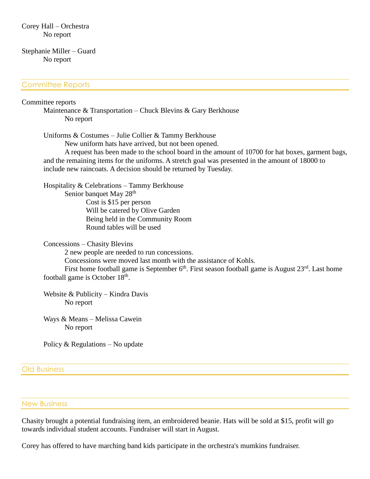#### Stephanie Miller – Guard No report

#### Committee Reports

#### Committee reports

Maintenance & Transportation – Chuck Blevins & Gary Berkhouse No report

Uniforms & Costumes – Julie Collier & Tammy Berkhouse

New uniform hats have arrived, but not been opened.

A request has been made to the school board in the amount of 10700 for hat boxes, garment bags, and the remaining items for the uniforms. A stretch goal was presented in the amount of 18000 to include new raincoats. A decision should be returned by Tuesday.

Hospitality & Celebrations – Tammy Berkhouse Senior banquet May 28<sup>th</sup> Cost is \$15 per person Will be catered by Olive Garden Being held in the Community Room Round tables will be used

Concessions – Chasity Blevins 2 new people are needed to run concessions. Concessions were moved last month with the assistance of Kohls. First home football game is September  $6<sup>th</sup>$ . First season football game is August  $23<sup>rd</sup>$ . Last home football game is October  $18<sup>th</sup>$ .

Website & Publicity – Kindra Davis No report

Ways & Means – Melissa Cawein No report

Policy & Regulations – No update

#### Old Business

#### New Business

Chasity brought a potential fundraising item, an embroidered beanie. Hats will be sold at \$15, profit will go towards individual student accounts. Fundraiser will start in August.

Corey has offered to have marching band kids participate in the orchestra's mumkins fundraiser.